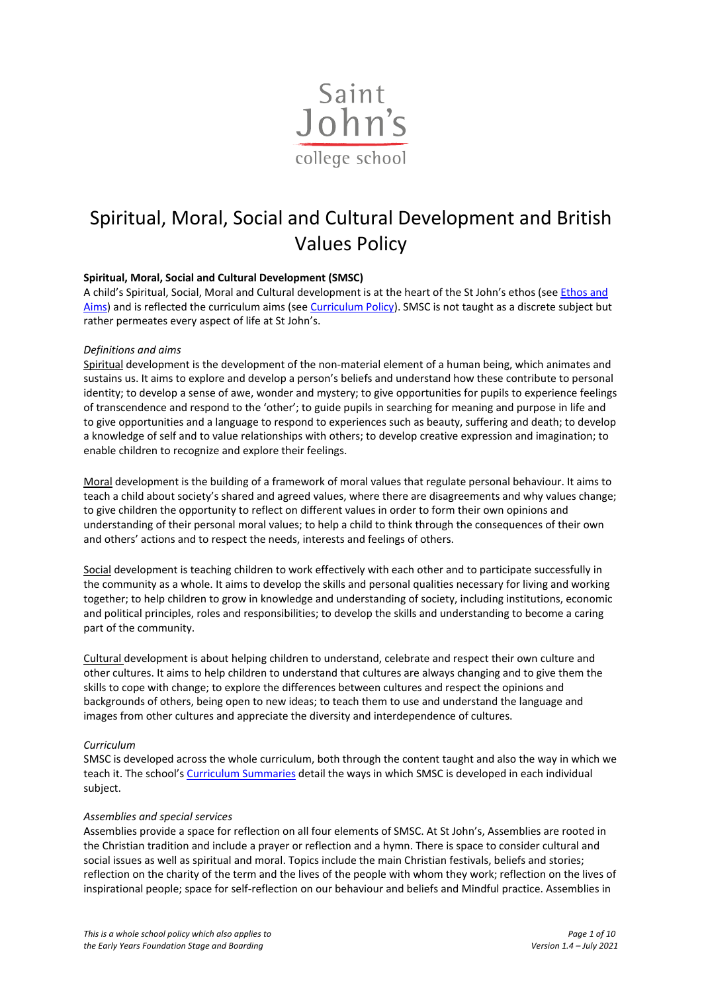

# Spiritual, Moral, Social and Cultural Development and British Values Policy

# **Spiritual, Moral, Social and Cultural Development (SMSC)**

A child's Spiritual, Social, Moral and Cultural development is at the heart of the St John's ethos (se[e Ethos and](https://www.sjcs.co.uk/sites/default/files/styles/Policies/SJCS%20Ethos%20%26%20Aims.pdf)  [Aims\)](https://www.sjcs.co.uk/sites/default/files/styles/Policies/SJCS%20Ethos%20%26%20Aims.pdf) and is reflected the curriculum aims (se[e Curriculum Policy\)](https://www.sjcs.co.uk/sites/default/files/styles/Policies/SJCS%20Curriculum%20Policy.pdf). SMSC is not taught as a discrete subject but rather permeates every aspect of life at St John's.

#### *Definitions and aims*

Spiritual development is the development of the non-material element of a human being, which animates and sustains us. It aims to explore and develop a person's beliefs and understand how these contribute to personal identity; to develop a sense of awe, wonder and mystery; to give opportunities for pupils to experience feelings of transcendence and respond to the 'other'; to guide pupils in searching for meaning and purpose in life and to give opportunities and a language to respond to experiences such as beauty, suffering and death; to develop a knowledge of self and to value relationships with others; to develop creative expression and imagination; to enable children to recognize and explore their feelings.

Moral development is the building of a framework of moral values that regulate personal behaviour. It aims to teach a child about society's shared and agreed values, where there are disagreements and why values change; to give children the opportunity to reflect on different values in order to form their own opinions and understanding of their personal moral values; to help a child to think through the consequences of their own and others' actions and to respect the needs, interests and feelings of others.

Social development is teaching children to work effectively with each other and to participate successfully in the community as a whole. It aims to develop the skills and personal qualities necessary for living and working together; to help children to grow in knowledge and understanding of society, including institutions, economic and political principles, roles and responsibilities; to develop the skills and understanding to become a caring part of the community.

Cultural development is about helping children to understand, celebrate and respect their own culture and other cultures. It aims to help children to understand that cultures are always changing and to give them the skills to cope with change; to explore the differences between cultures and respect the opinions and backgrounds of others, being open to new ideas; to teach them to use and understand the language and images from other cultures and appreciate the diversity and interdependence of cultures.

#### *Curriculum*

SMSC is developed across the whole curriculum, both through the content taught and also the way in which we teach it. The school'[s Curriculum Summaries](https://www.sjcs.co.uk/curriculum-summaries) detail the ways in which SMSC is developed in each individual subject.

#### *Assemblies and special services*

Assemblies provide a space for reflection on all four elements of SMSC. At St John's, Assemblies are rooted in the Christian tradition and include a prayer or reflection and a hymn. There is space to consider cultural and social issues as well as spiritual and moral. Topics include the main Christian festivals, beliefs and stories; reflection on the charity of the term and the lives of the people with whom they work; reflection on the lives of inspirational people; space for self-reflection on our behaviour and beliefs and Mindful practice. Assemblies in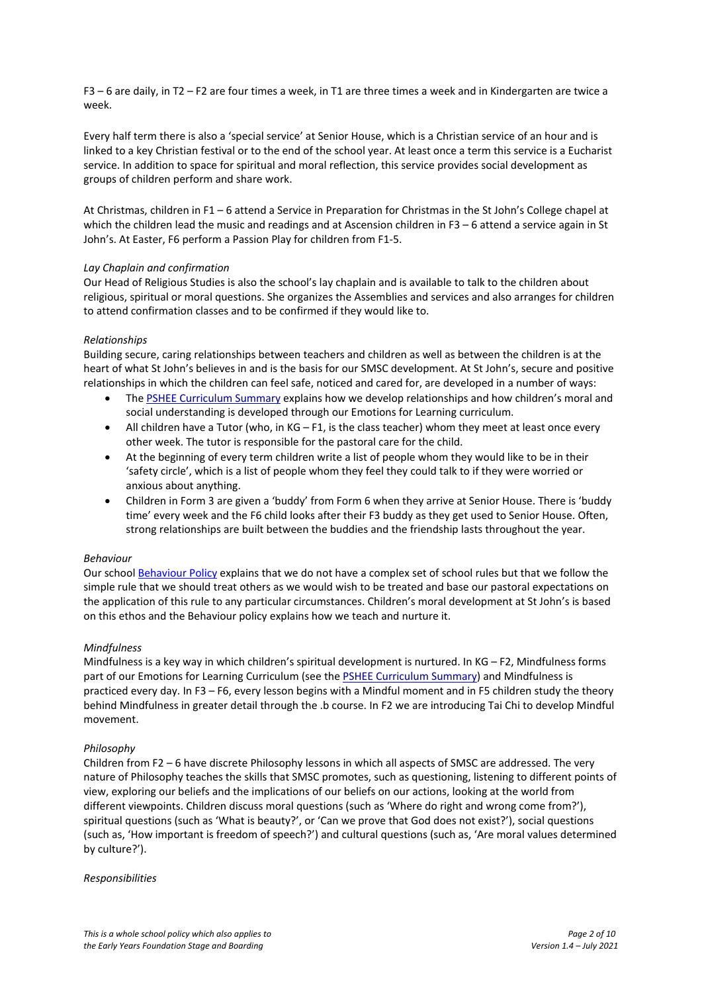F3 – 6 are daily, in T2 – F2 are four times a week, in T1 are three times a week and in Kindergarten are twice a week.

Every half term there is also a 'special service' at Senior House, which is a Christian service of an hour and is linked to a key Christian festival or to the end of the school year. At least once a term this service is a Eucharist service. In addition to space for spiritual and moral reflection, this service provides social development as groups of children perform and share work.

At Christmas, children in F1 – 6 attend a Service in Preparation for Christmas in the St John's College chapel at which the children lead the music and readings and at Ascension children in F3 – 6 attend a service again in St John's. At Easter, F6 perform a Passion Play for children from F1-5.

#### *Lay Chaplain and confirmation*

Our Head of Religious Studies is also the school's lay chaplain and is available to talk to the children about religious, spiritual or moral questions. She organizes the Assemblies and services and also arranges for children to attend confirmation classes and to be confirmed if they would like to.

# *Relationships*

Building secure, caring relationships between teachers and children as well as between the children is at the heart of what St John's believes in and is the basis for our SMSC development. At St John's, secure and positive relationships in which the children can feel safe, noticed and cared for, are developed in a number of ways:

- The PSHEE [Curriculum Summary](https://www.sjcs.co.uk/sites/default/files/styles/Teaching%20%26%20Learning/Curriculum%20Summaries/SJCS%20Curriculum%20Summary%20-%20PSHEE.pdf) explains how we develop relationships and how children's moral and social understanding is developed through our Emotions for Learning curriculum.
- $\bullet$  All children have a Tutor (who, in KG F1, is the class teacher) whom they meet at least once every other week. The tutor is responsible for the pastoral care for the child.
- At the beginning of every term children write a list of people whom they would like to be in their 'safety circle', which is a list of people whom they feel they could talk to if they were worried or anxious about anything.
- Children in Form 3 are given a 'buddy' from Form 6 when they arrive at Senior House. There is 'buddy time' every week and the F6 child looks after their F3 buddy as they get used to Senior House. Often, strong relationships are built between the buddies and the friendship lasts throughout the year.

#### *Behaviour*

Our school [Behaviour Policy](https://www.sjcs.co.uk/sites/default/files/styles/Policies/SJCS%20Behaviour%20Policy.pdf) explains that we do not have a complex set of school rules but that we follow the simple rule that we should treat others as we would wish to be treated and base our pastoral expectations on the application of this rule to any particular circumstances. Children's moral development at St John's is based on this ethos and the Behaviour policy explains how we teach and nurture it.

#### *Mindfulness*

Mindfulness is a key way in which children's spiritual development is nurtured. In KG – F2, Mindfulness forms part of our Emotions for Learning Curriculum (see the [PSHEE Curriculum Summary\)](https://www.sjcs.co.uk/sites/default/files/styles/Teaching%20%26%20Learning/Curriculum%20Summaries/SJCS%20Curriculum%20Summary%20-%20PSHEE.pdf) and Mindfulness is practiced every day. In F3 – F6, every lesson begins with a Mindful moment and in F5 children study the theory behind Mindfulness in greater detail through the .b course. In F2 we are introducing Tai Chi to develop Mindful movement.

#### *Philosophy*

Children from F2 – 6 have discrete Philosophy lessons in which all aspects of SMSC are addressed. The very nature of Philosophy teaches the skills that SMSC promotes, such as questioning, listening to different points of view, exploring our beliefs and the implications of our beliefs on our actions, looking at the world from different viewpoints. Children discuss moral questions (such as 'Where do right and wrong come from?'), spiritual questions (such as 'What is beauty?', or 'Can we prove that God does not exist?'), social questions (such as, 'How important is freedom of speech?') and cultural questions (such as, 'Are moral values determined by culture?').

#### *Responsibilities*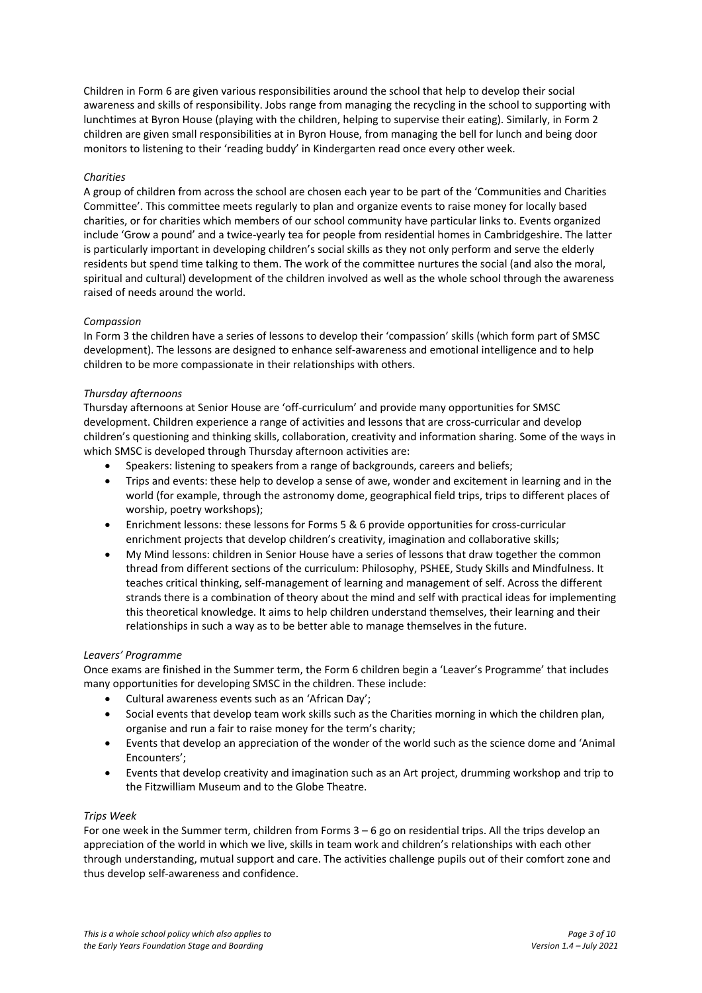Children in Form 6 are given various responsibilities around the school that help to develop their social awareness and skills of responsibility. Jobs range from managing the recycling in the school to supporting with lunchtimes at Byron House (playing with the children, helping to supervise their eating). Similarly, in Form 2 children are given small responsibilities at in Byron House, from managing the bell for lunch and being door monitors to listening to their 'reading buddy' in Kindergarten read once every other week.

# *Charities*

A group of children from across the school are chosen each year to be part of the 'Communities and Charities Committee'. This committee meets regularly to plan and organize events to raise money for locally based charities, or for charities which members of our school community have particular links to. Events organized include 'Grow a pound' and a twice-yearly tea for people from residential homes in Cambridgeshire. The latter is particularly important in developing children's social skills as they not only perform and serve the elderly residents but spend time talking to them. The work of the committee nurtures the social (and also the moral, spiritual and cultural) development of the children involved as well as the whole school through the awareness raised of needs around the world.

#### *Compassion*

In Form 3 the children have a series of lessons to develop their 'compassion' skills (which form part of SMSC development). The lessons are designed to enhance self-awareness and emotional intelligence and to help children to be more compassionate in their relationships with others.

# *Thursday afternoons*

Thursday afternoons at Senior House are 'off-curriculum' and provide many opportunities for SMSC development. Children experience a range of activities and lessons that are cross-curricular and develop children's questioning and thinking skills, collaboration, creativity and information sharing. Some of the ways in which SMSC is developed through Thursday afternoon activities are:

- Speakers: listening to speakers from a range of backgrounds, careers and beliefs;
- Trips and events: these help to develop a sense of awe, wonder and excitement in learning and in the world (for example, through the astronomy dome, geographical field trips, trips to different places of worship, poetry workshops);
- Enrichment lessons: these lessons for Forms 5 & 6 provide opportunities for cross-curricular enrichment projects that develop children's creativity, imagination and collaborative skills;
- My Mind lessons: children in Senior House have a series of lessons that draw together the common thread from different sections of the curriculum: Philosophy, PSHEE, Study Skills and Mindfulness. It teaches critical thinking, self-management of learning and management of self. Across the different strands there is a combination of theory about the mind and self with practical ideas for implementing this theoretical knowledge. It aims to help children understand themselves, their learning and their relationships in such a way as to be better able to manage themselves in the future.

#### *Leavers' Programme*

Once exams are finished in the Summer term, the Form 6 children begin a 'Leaver's Programme' that includes many opportunities for developing SMSC in the children. These include:

- Cultural awareness events such as an 'African Day';
- Social events that develop team work skills such as the Charities morning in which the children plan, organise and run a fair to raise money for the term's charity;
- Events that develop an appreciation of the wonder of the world such as the science dome and 'Animal Encounters';
- Events that develop creativity and imagination such as an Art project, drumming workshop and trip to the Fitzwilliam Museum and to the Globe Theatre.

#### *Trips Week*

For one week in the Summer term, children from Forms 3 – 6 go on residential trips. All the trips develop an appreciation of the world in which we live, skills in team work and children's relationships with each other through understanding, mutual support and care. The activities challenge pupils out of their comfort zone and thus develop self-awareness and confidence.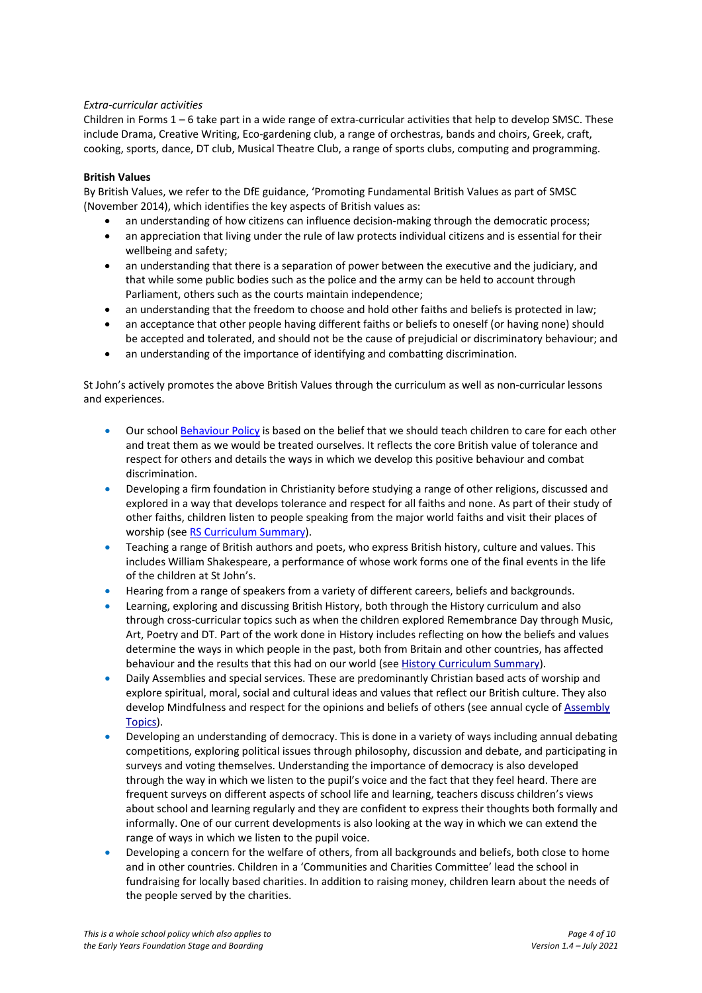# *Extra-curricular activities*

Children in Forms 1 – 6 take part in a wide range of extra-curricular activities that help to develop SMSC. These include Drama, Creative Writing, Eco-gardening club, a range of orchestras, bands and choirs, Greek, craft, cooking, sports, dance, DT club, Musical Theatre Club, a range of sports clubs, computing and programming.

#### **British Values**

By British Values, we refer to the DfE guidance, 'Promoting Fundamental British Values as part of SMSC (November 2014), which identifies the key aspects of British values as:

- an understanding of how citizens can influence decision-making through the democratic process;
- an appreciation that living under the rule of law protects individual citizens and is essential for their wellbeing and safety;
- an understanding that there is a separation of power between the executive and the judiciary, and that while some public bodies such as the police and the army can be held to account through Parliament, others such as the courts maintain independence;
- an understanding that the freedom to choose and hold other faiths and beliefs is protected in law;
- an acceptance that other people having different faiths or beliefs to oneself (or having none) should be accepted and tolerated, and should not be the cause of prejudicial or discriminatory behaviour; and
- an understanding of the importance of identifying and combatting discrimination.

St John's actively promotes the above British Values through the curriculum as well as non-curricular lessons and experiences.

- Our school [Behaviour Policy](https://www.sjcs.co.uk/sites/default/files/styles/Policies/SJCS%20Behaviour%20Policy.pdf) is based on the belief that we should teach children to care for each other and treat them as we would be treated ourselves. It reflects the core British value of tolerance and respect for others and details the ways in which we develop this positive behaviour and combat discrimination.
- Developing a firm foundation in Christianity before studying a range of other religions, discussed and explored in a way that develops tolerance and respect for all faiths and none. As part of their study of other faiths, children listen to people speaking from the major world faiths and visit their places of worship (see [RS Curriculum Summary\)](https://www.sjcs.co.uk/sites/default/files/styles/Teaching%20%26%20Learning/Curriculum%20Summaries/SJCS%20Curriculum%20Summary%20-%20Religious%20Studies.pdf).
- Teaching a range of British authors and poets, who express British history, culture and values. This includes William Shakespeare, a performance of whose work forms one of the final events in the life of the children at St John's.
- Hearing from a range of speakers from a variety of different careers, beliefs and backgrounds.
- Learning, exploring and discussing British History, both through the History curriculum and also through cross-curricular topics such as when the children explored Remembrance Day through Music, Art, Poetry and DT. Part of the work done in History includes reflecting on how the beliefs and values determine the ways in which people in the past, both from Britain and other countries, has affected behaviour and the results that this had on our world (se[e History Curriculum Summary\)](https://www.sjcs.co.uk/sites/default/files/styles/Teaching%20%26%20Learning/Curriculum%20Summaries/SJCS%20Curriculum%20Summary%20-%20History.pdf).
- Daily Assemblies and special services. These are predominantly Christian based acts of worship and explore spiritual, moral, social and cultural ideas and values that reflect our British culture. They also develop Mindfulness and respect for the opinions and beliefs of others (see annual cycle of [Assembly](https://www.sjcs.co.uk/sites/default/files/styles/Policies/SJCS%20Assemblies%20and%20Services.pdf)  [Topics\)](https://www.sjcs.co.uk/sites/default/files/styles/Policies/SJCS%20Assemblies%20and%20Services.pdf).
- Developing an understanding of democracy. This is done in a variety of ways including annual debating competitions, exploring political issues through philosophy, discussion and debate, and participating in surveys and voting themselves. Understanding the importance of democracy is also developed through the way in which we listen to the pupil's voice and the fact that they feel heard. There are frequent surveys on different aspects of school life and learning, teachers discuss children's views about school and learning regularly and they are confident to express their thoughts both formally and informally. One of our current developments is also looking at the way in which we can extend the range of ways in which we listen to the pupil voice.
- Developing a concern for the welfare of others, from all backgrounds and beliefs, both close to home and in other countries. Children in a 'Communities and Charities Committee' lead the school in fundraising for locally based charities. In addition to raising money, children learn about the needs of the people served by the charities.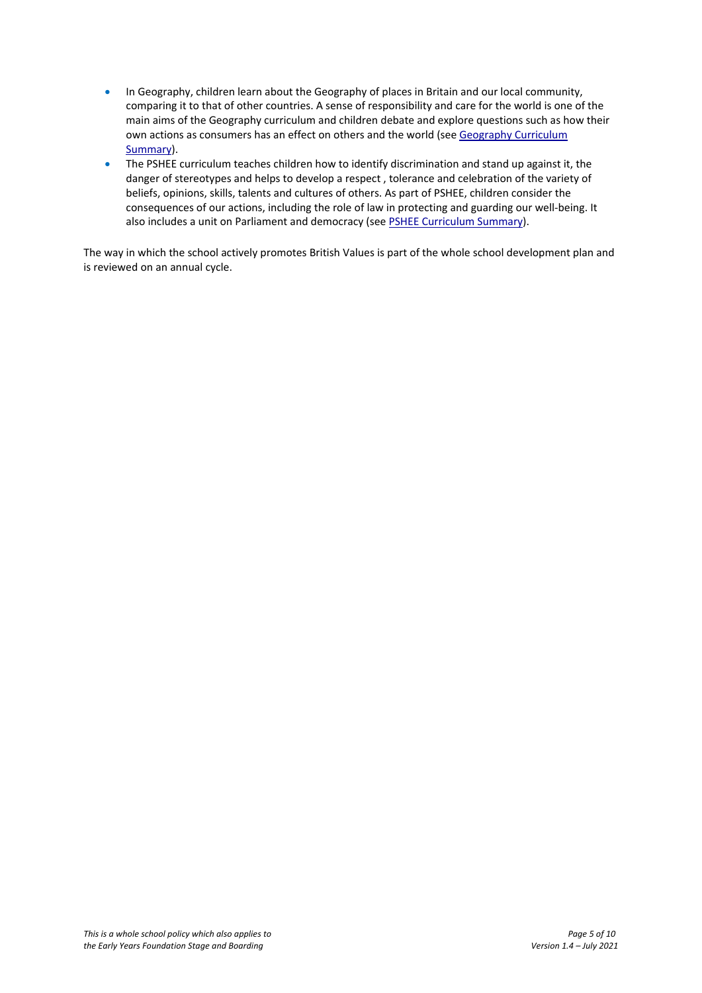- In Geography, children learn about the Geography of places in Britain and our local community, comparing it to that of other countries. A sense of responsibility and care for the world is one of the main aims of the Geography curriculum and children debate and explore questions such as how their own actions as consumers has an effect on others and the world (see Geography Curriculum [Summary\)](https://www.sjcs.co.uk/sites/default/files/styles/Teaching%20%26%20Learning/Curriculum%20Summaries/SJCS%20Curriculum%20Summary%20-%20Geography.pdf).
- The PSHEE curriculum teaches children how to identify discrimination and stand up against it, the danger of stereotypes and helps to develop a respect , tolerance and celebration of the variety of beliefs, opinions, skills, talents and cultures of others. As part of PSHEE, children consider the consequences of our actions, including the role of law in protecting and guarding our well-being. It also includes a unit on Parliament and democracy (see [PSHEE Curriculum Summary\)](https://www.sjcs.co.uk/sites/default/files/styles/Teaching%20%26%20Learning/Curriculum%20Summaries/SJCS%20Curriculum%20Summary%20-%20PSHEE.pdf).

The way in which the school actively promotes British Values is part of the whole school development plan and is reviewed on an annual cycle.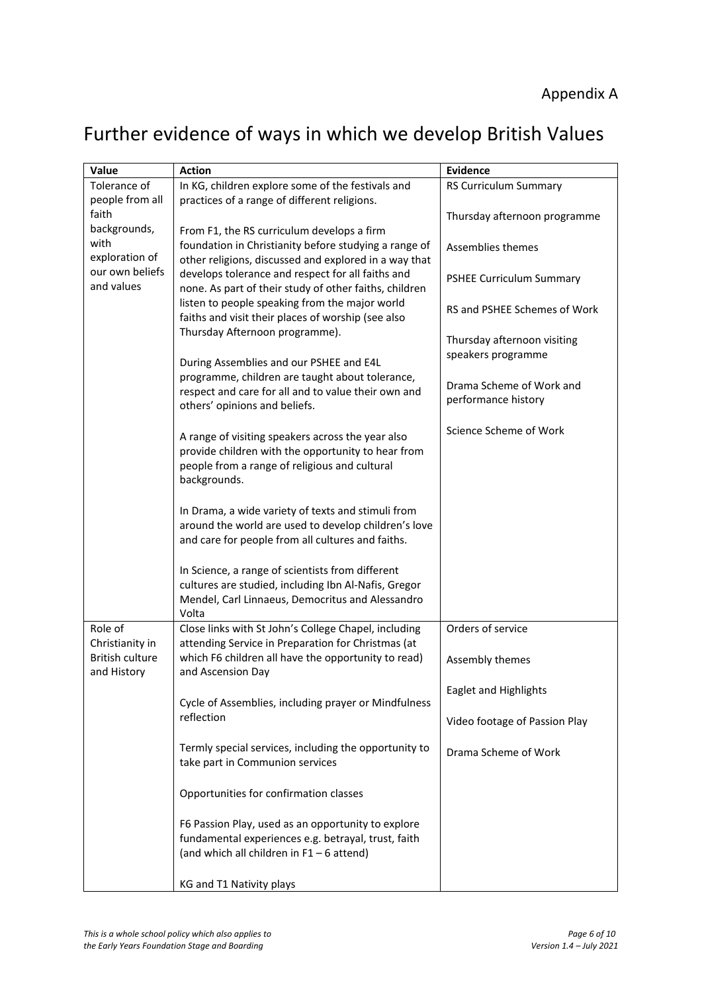# Further evidence of ways in which we develop British Values

| Value                  | <b>Action</b>                                                                              | <b>Evidence</b>                 |
|------------------------|--------------------------------------------------------------------------------------------|---------------------------------|
| Tolerance of           | In KG, children explore some of the festivals and                                          | RS Curriculum Summary           |
| people from all        | practices of a range of different religions.                                               |                                 |
| faith                  |                                                                                            | Thursday afternoon programme    |
| backgrounds,           | From F1, the RS curriculum develops a firm                                                 |                                 |
| with                   | foundation in Christianity before studying a range of                                      | Assemblies themes               |
| exploration of         | other religions, discussed and explored in a way that                                      |                                 |
| our own beliefs        | develops tolerance and respect for all faiths and                                          | <b>PSHEE Curriculum Summary</b> |
| and values             | none. As part of their study of other faiths, children                                     |                                 |
|                        | listen to people speaking from the major world                                             | RS and PSHEE Schemes of Work    |
|                        | faiths and visit their places of worship (see also<br>Thursday Afternoon programme).       |                                 |
|                        |                                                                                            | Thursday afternoon visiting     |
|                        |                                                                                            | speakers programme              |
|                        | During Assemblies and our PSHEE and E4L<br>programme, children are taught about tolerance, |                                 |
|                        | respect and care for all and to value their own and                                        | Drama Scheme of Work and        |
|                        | others' opinions and beliefs.                                                              | performance history             |
|                        |                                                                                            |                                 |
|                        | A range of visiting speakers across the year also                                          | Science Scheme of Work          |
|                        | provide children with the opportunity to hear from                                         |                                 |
|                        | people from a range of religious and cultural                                              |                                 |
|                        | backgrounds.                                                                               |                                 |
|                        |                                                                                            |                                 |
|                        | In Drama, a wide variety of texts and stimuli from                                         |                                 |
|                        | around the world are used to develop children's love                                       |                                 |
|                        | and care for people from all cultures and faiths.                                          |                                 |
|                        |                                                                                            |                                 |
|                        | In Science, a range of scientists from different                                           |                                 |
|                        | cultures are studied, including Ibn Al-Nafis, Gregor                                       |                                 |
|                        | Mendel, Carl Linnaeus, Democritus and Alessandro                                           |                                 |
|                        | Volta                                                                                      |                                 |
| Role of                | Close links with St John's College Chapel, including                                       | Orders of service               |
| Christianity in        | attending Service in Preparation for Christmas (at                                         |                                 |
| <b>British culture</b> | which F6 children all have the opportunity to read)                                        | Assembly themes                 |
| and History            | and Ascension Day                                                                          |                                 |
|                        |                                                                                            | <b>Eaglet and Highlights</b>    |
|                        | Cycle of Assemblies, including prayer or Mindfulness<br>reflection                         |                                 |
|                        |                                                                                            | Video footage of Passion Play   |
|                        |                                                                                            |                                 |
|                        | Termly special services, including the opportunity to                                      | Drama Scheme of Work            |
|                        | take part in Communion services                                                            |                                 |
|                        | Opportunities for confirmation classes                                                     |                                 |
|                        |                                                                                            |                                 |
|                        | F6 Passion Play, used as an opportunity to explore                                         |                                 |
|                        | fundamental experiences e.g. betrayal, trust, faith                                        |                                 |
|                        | (and which all children in $F1 - 6$ attend)                                                |                                 |
|                        |                                                                                            |                                 |
|                        | KG and T1 Nativity plays                                                                   |                                 |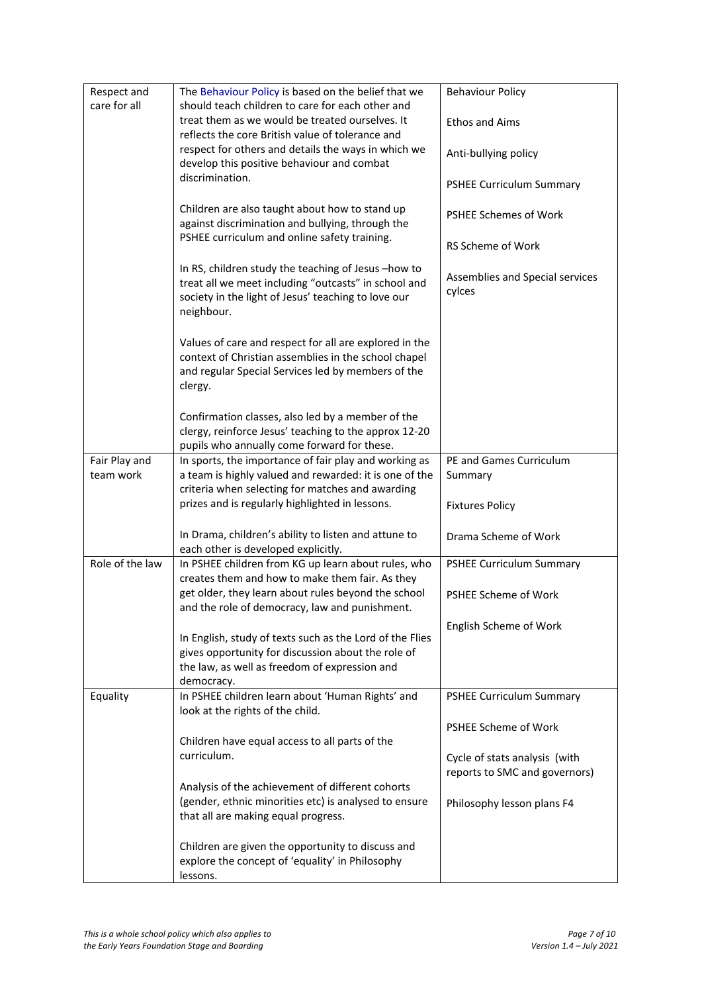| Respect and     | The Behaviour Policy is based on the belief that we      | <b>Behaviour Policy</b>         |
|-----------------|----------------------------------------------------------|---------------------------------|
| care for all    | should teach children to care for each other and         |                                 |
|                 | treat them as we would be treated ourselves. It          | <b>Ethos and Aims</b>           |
|                 | reflects the core British value of tolerance and         |                                 |
|                 | respect for others and details the ways in which we      | Anti-bullying policy            |
|                 | develop this positive behaviour and combat               |                                 |
|                 | discrimination.                                          | <b>PSHEE Curriculum Summary</b> |
|                 |                                                          |                                 |
|                 | Children are also taught about how to stand up           | PSHEE Schemes of Work           |
|                 | against discrimination and bullying, through the         |                                 |
|                 | PSHEE curriculum and online safety training.             | RS Scheme of Work               |
|                 |                                                          |                                 |
|                 | In RS, children study the teaching of Jesus-how to       | Assemblies and Special services |
|                 | treat all we meet including "outcasts" in school and     | cylces                          |
|                 | society in the light of Jesus' teaching to love our      |                                 |
|                 | neighbour.                                               |                                 |
|                 |                                                          |                                 |
|                 | Values of care and respect for all are explored in the   |                                 |
|                 | context of Christian assemblies in the school chapel     |                                 |
|                 | and regular Special Services led by members of the       |                                 |
|                 | clergy.                                                  |                                 |
|                 |                                                          |                                 |
|                 | Confirmation classes, also led by a member of the        |                                 |
|                 | clergy, reinforce Jesus' teaching to the approx 12-20    |                                 |
|                 | pupils who annually come forward for these.              |                                 |
| Fair Play and   | In sports, the importance of fair play and working as    | PE and Games Curriculum         |
| team work       | a team is highly valued and rewarded: it is one of the   | Summary                         |
|                 | criteria when selecting for matches and awarding         |                                 |
|                 | prizes and is regularly highlighted in lessons.          | <b>Fixtures Policy</b>          |
|                 |                                                          |                                 |
|                 | In Drama, children's ability to listen and attune to     | Drama Scheme of Work            |
|                 | each other is developed explicitly.                      |                                 |
| Role of the law | In PSHEE children from KG up learn about rules, who      | <b>PSHEE Curriculum Summary</b> |
|                 | creates them and how to make them fair. As they          |                                 |
|                 | get older, they learn about rules beyond the school      | PSHEE Scheme of Work            |
|                 | and the role of democracy, law and punishment.           |                                 |
|                 |                                                          | English Scheme of Work          |
|                 | In English, study of texts such as the Lord of the Flies |                                 |
|                 | gives opportunity for discussion about the role of       |                                 |
|                 | the law, as well as freedom of expression and            |                                 |
|                 | democracy.                                               |                                 |
| Equality        | In PSHEE children learn about 'Human Rights' and         | <b>PSHEE Curriculum Summary</b> |
|                 | look at the rights of the child.                         |                                 |
|                 |                                                          | <b>PSHEE Scheme of Work</b>     |
|                 | Children have equal access to all parts of the           |                                 |
|                 | curriculum.                                              | Cycle of stats analysis (with   |
|                 |                                                          | reports to SMC and governors)   |
|                 | Analysis of the achievement of different cohorts         |                                 |
|                 | (gender, ethnic minorities etc) is analysed to ensure    | Philosophy lesson plans F4      |
|                 | that all are making equal progress.                      |                                 |
|                 |                                                          |                                 |
|                 | Children are given the opportunity to discuss and        |                                 |
|                 | explore the concept of 'equality' in Philosophy          |                                 |
|                 | lessons.                                                 |                                 |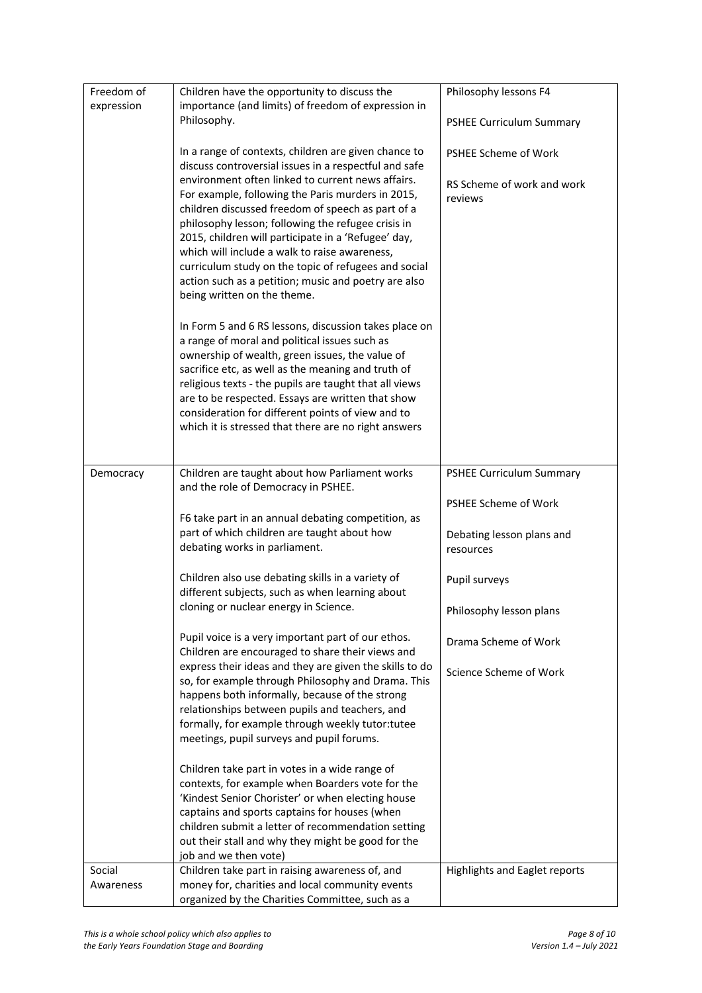| Freedom of          | Children have the opportunity to discuss the                                                                                                                                                                                                                                                                                                                                                                                                                                                                                                                                                                                                                                                                                                                                                                                                                                                                                                                                                                                                                                                                                          | Philosophy lessons F4                                                                                                                                                                    |
|---------------------|---------------------------------------------------------------------------------------------------------------------------------------------------------------------------------------------------------------------------------------------------------------------------------------------------------------------------------------------------------------------------------------------------------------------------------------------------------------------------------------------------------------------------------------------------------------------------------------------------------------------------------------------------------------------------------------------------------------------------------------------------------------------------------------------------------------------------------------------------------------------------------------------------------------------------------------------------------------------------------------------------------------------------------------------------------------------------------------------------------------------------------------|------------------------------------------------------------------------------------------------------------------------------------------------------------------------------------------|
| expression          | importance (and limits) of freedom of expression in                                                                                                                                                                                                                                                                                                                                                                                                                                                                                                                                                                                                                                                                                                                                                                                                                                                                                                                                                                                                                                                                                   |                                                                                                                                                                                          |
|                     | Philosophy.                                                                                                                                                                                                                                                                                                                                                                                                                                                                                                                                                                                                                                                                                                                                                                                                                                                                                                                                                                                                                                                                                                                           | <b>PSHEE Curriculum Summary</b>                                                                                                                                                          |
|                     | In a range of contexts, children are given chance to<br>discuss controversial issues in a respectful and safe<br>environment often linked to current news affairs.<br>For example, following the Paris murders in 2015,<br>children discussed freedom of speech as part of a<br>philosophy lesson; following the refugee crisis in<br>2015, children will participate in a 'Refugee' day,<br>which will include a walk to raise awareness,<br>curriculum study on the topic of refugees and social<br>action such as a petition; music and poetry are also<br>being written on the theme.<br>In Form 5 and 6 RS lessons, discussion takes place on<br>a range of moral and political issues such as<br>ownership of wealth, green issues, the value of<br>sacrifice etc, as well as the meaning and truth of<br>religious texts - the pupils are taught that all views<br>are to be respected. Essays are written that show<br>consideration for different points of view and to<br>which it is stressed that there are no right answers                                                                                              | <b>PSHEE Scheme of Work</b><br>RS Scheme of work and work<br>reviews                                                                                                                     |
|                     |                                                                                                                                                                                                                                                                                                                                                                                                                                                                                                                                                                                                                                                                                                                                                                                                                                                                                                                                                                                                                                                                                                                                       |                                                                                                                                                                                          |
| Democracy           | Children are taught about how Parliament works<br>and the role of Democracy in PSHEE.<br>F6 take part in an annual debating competition, as<br>part of which children are taught about how<br>debating works in parliament.<br>Children also use debating skills in a variety of<br>different subjects, such as when learning about<br>cloning or nuclear energy in Science.<br>Pupil voice is a very important part of our ethos.<br>Children are encouraged to share their views and<br>express their ideas and they are given the skills to do<br>so, for example through Philosophy and Drama. This<br>happens both informally, because of the strong<br>relationships between pupils and teachers, and<br>formally, for example through weekly tutor: tutee<br>meetings, pupil surveys and pupil forums.<br>Children take part in votes in a wide range of<br>contexts, for example when Boarders vote for the<br>'Kindest Senior Chorister' or when electing house<br>captains and sports captains for houses (when<br>children submit a letter of recommendation setting<br>out their stall and why they might be good for the | PSHEE Curriculum Summary<br>PSHEE Scheme of Work<br>Debating lesson plans and<br>resources<br>Pupil surveys<br>Philosophy lesson plans<br>Drama Scheme of Work<br>Science Scheme of Work |
|                     | job and we then vote)                                                                                                                                                                                                                                                                                                                                                                                                                                                                                                                                                                                                                                                                                                                                                                                                                                                                                                                                                                                                                                                                                                                 |                                                                                                                                                                                          |
| Social<br>Awareness | Children take part in raising awareness of, and<br>money for, charities and local community events<br>organized by the Charities Committee, such as a                                                                                                                                                                                                                                                                                                                                                                                                                                                                                                                                                                                                                                                                                                                                                                                                                                                                                                                                                                                 | <b>Highlights and Eaglet reports</b>                                                                                                                                                     |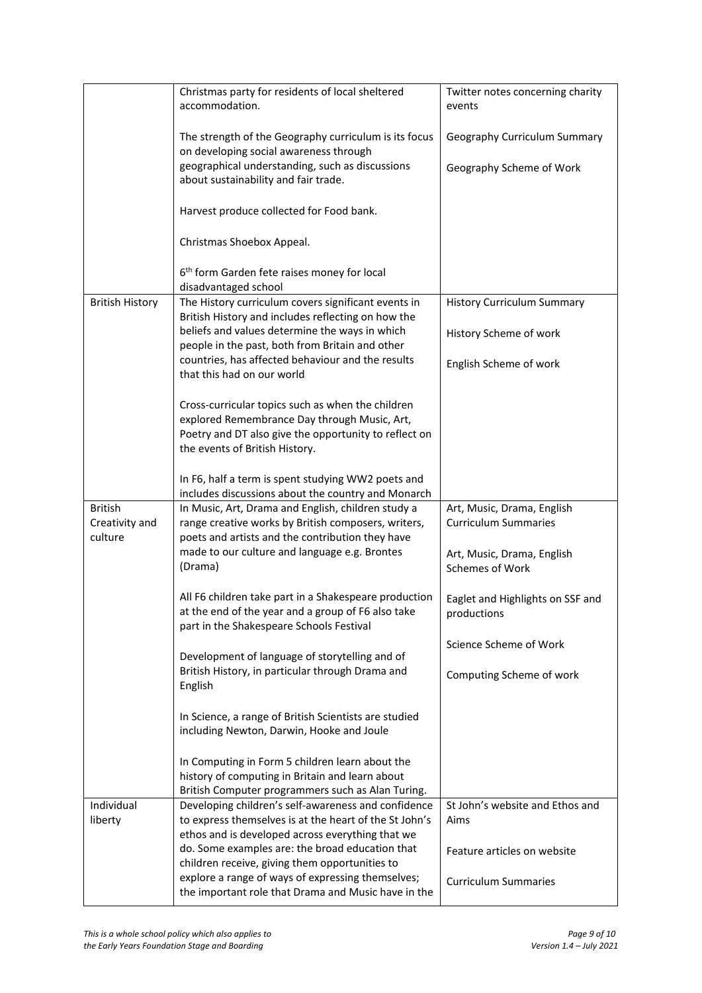|                           | Christmas party for residents of local sheltered<br>accommodation.                                          | Twitter notes concerning charity<br>events                |
|---------------------------|-------------------------------------------------------------------------------------------------------------|-----------------------------------------------------------|
|                           |                                                                                                             |                                                           |
|                           | The strength of the Geography curriculum is its focus<br>on developing social awareness through             | Geography Curriculum Summary                              |
|                           | geographical understanding, such as discussions                                                             | Geography Scheme of Work                                  |
|                           | about sustainability and fair trade.                                                                        |                                                           |
|                           | Harvest produce collected for Food bank.                                                                    |                                                           |
|                           | Christmas Shoebox Appeal.                                                                                   |                                                           |
|                           | 6 <sup>th</sup> form Garden fete raises money for local<br>disadvantaged school                             |                                                           |
| <b>British History</b>    | The History curriculum covers significant events in                                                         | <b>History Curriculum Summary</b>                         |
|                           | British History and includes reflecting on how the<br>beliefs and values determine the ways in which        | History Scheme of work                                    |
|                           | people in the past, both from Britain and other                                                             |                                                           |
|                           | countries, has affected behaviour and the results<br>that this had on our world                             | English Scheme of work                                    |
|                           | Cross-curricular topics such as when the children                                                           |                                                           |
|                           | explored Remembrance Day through Music, Art,                                                                |                                                           |
|                           | Poetry and DT also give the opportunity to reflect on<br>the events of British History.                     |                                                           |
|                           |                                                                                                             |                                                           |
|                           | In F6, half a term is spent studying WW2 poets and<br>includes discussions about the country and Monarch    |                                                           |
| <b>British</b>            | In Music, Art, Drama and English, children study a                                                          | Art, Music, Drama, English<br><b>Curriculum Summaries</b> |
| Creativity and<br>culture | range creative works by British composers, writers,<br>poets and artists and the contribution they have     |                                                           |
|                           | made to our culture and language e.g. Brontes                                                               | Art, Music, Drama, English                                |
|                           | (Drama)                                                                                                     | Schemes of Work                                           |
|                           | All F6 children take part in a Shakespeare production<br>at the end of the year and a group of F6 also take | Eaglet and Highlights on SSF and<br>productions           |
|                           | part in the Shakespeare Schools Festival                                                                    | Science Scheme of Work                                    |
|                           | Development of language of storytelling and of                                                              |                                                           |
|                           | British History, in particular through Drama and<br>English                                                 | Computing Scheme of work                                  |
|                           | In Science, a range of British Scientists are studied                                                       |                                                           |
|                           | including Newton, Darwin, Hooke and Joule                                                                   |                                                           |
|                           | In Computing in Form 5 children learn about the                                                             |                                                           |
|                           | history of computing in Britain and learn about                                                             |                                                           |
| Individual                | British Computer programmers such as Alan Turing.<br>Developing children's self-awareness and confidence    | St John's website and Ethos and                           |
| liberty                   | to express themselves is at the heart of the St John's                                                      | Aims                                                      |
|                           | ethos and is developed across everything that we<br>do. Some examples are: the broad education that         | Feature articles on website                               |
|                           | children receive, giving them opportunities to                                                              |                                                           |
|                           | explore a range of ways of expressing themselves;<br>the important role that Drama and Music have in the    | <b>Curriculum Summaries</b>                               |